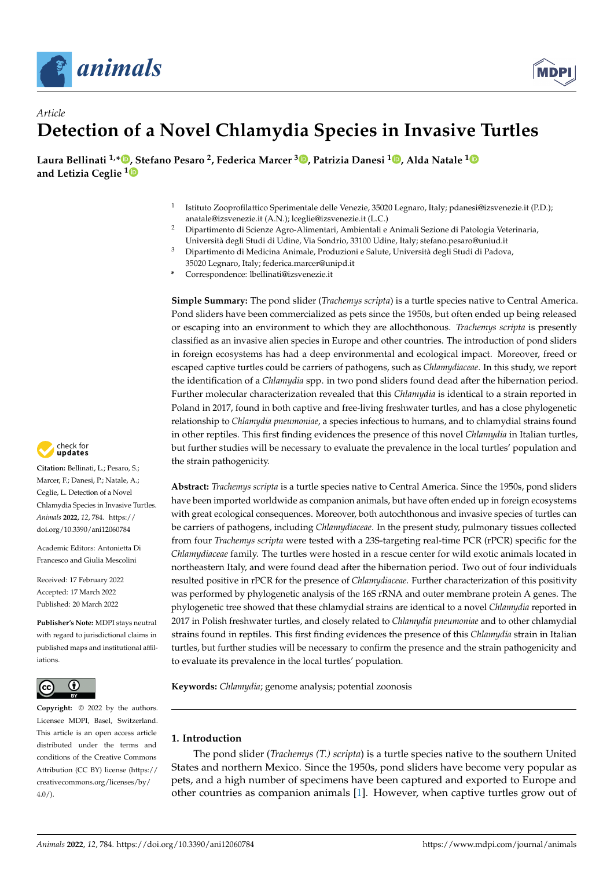



# *Article* **Detection of a Novel Chlamydia Species in Invasive Turtles**

**Laura Bellinati 1,[\\*](https://orcid.org/0000-0001-7809-0331) [, S](https://orcid.org/0000-0002-6056-7821)tefano Pesaro <sup>2</sup> , Federica Marcer <sup>3</sup> [,](https://orcid.org/0000-0002-8837-866X) Patrizia Danesi <sup>1</sup> [,](https://orcid.org/0000-0002-6738-2125) Alda Natale [1](https://orcid.org/0000-0003-2104-4531) and Letizia Ceglie <sup>1</sup>**

- 1 Istituto Zooprofilattico Sperimentale delle Venezie, 35020 Legnaro, Italy; pdanesi@izsvenezie.it (P.D.); anatale@izsvenezie.it (A.N.); lceglie@izsvenezie.it (L.C.)
- <sup>2</sup> Dipartimento di Scienze Agro-Alimentari, Ambientali e Animali Sezione di Patologia Veterinaria, Università degli Studi di Udine, Via Sondrio, 33100 Udine, Italy; stefano.pesaro@uniud.it
- <sup>3</sup> Dipartimento di Medicina Animale, Produzioni e Salute, Università degli Studi di Padova, 35020 Legnaro, Italy; federica.marcer@unipd.it
- **\*** Correspondence: lbellinati@izsvenezie.it

**Simple Summary:** The pond slider (*Trachemys scripta*) is a turtle species native to Central America. Pond sliders have been commercialized as pets since the 1950s, but often ended up being released or escaping into an environment to which they are allochthonous. *Trachemys scripta* is presently classified as an invasive alien species in Europe and other countries. The introduction of pond sliders in foreign ecosystems has had a deep environmental and ecological impact. Moreover, freed or escaped captive turtles could be carriers of pathogens, such as *Chlamydiaceae*. In this study, we report the identification of a *Chlamydia* spp. in two pond sliders found dead after the hibernation period. Further molecular characterization revealed that this *Chlamydia* is identical to a strain reported in Poland in 2017, found in both captive and free-living freshwater turtles, and has a close phylogenetic relationship to *Chlamydia pneumoniae*, a species infectious to humans, and to chlamydial strains found in other reptiles. This first finding evidences the presence of this novel *Chlamydia* in Italian turtles, but further studies will be necessary to evaluate the prevalence in the local turtles' population and the strain pathogenicity.

**Abstract:** *Trachemys scripta* is a turtle species native to Central America. Since the 1950s, pond sliders have been imported worldwide as companion animals, but have often ended up in foreign ecosystems with great ecological consequences. Moreover, both autochthonous and invasive species of turtles can be carriers of pathogens, including *Chlamydiaceae*. In the present study, pulmonary tissues collected from four *Trachemys scripta* were tested with a 23S-targeting real-time PCR (rPCR) specific for the *Chlamydiaceae* family. The turtles were hosted in a rescue center for wild exotic animals located in northeastern Italy, and were found dead after the hibernation period. Two out of four individuals resulted positive in rPCR for the presence of *Chlamydiaceae*. Further characterization of this positivity was performed by phylogenetic analysis of the 16S rRNA and outer membrane protein A genes. The phylogenetic tree showed that these chlamydial strains are identical to a novel *Chlamydia* reported in 2017 in Polish freshwater turtles, and closely related to *Chlamydia pneumoniae* and to other chlamydial strains found in reptiles. This first finding evidences the presence of this *Chlamydia* strain in Italian turtles, but further studies will be necessary to confirm the presence and the strain pathogenicity and to evaluate its prevalence in the local turtles' population.

**Keywords:** *Chlamydia*; genome analysis; potential zoonosis

## **1. Introduction**

The pond slider (*Trachemys (T.) scripta*) is a turtle species native to the southern United States and northern Mexico. Since the 1950s, pond sliders have become very popular as pets, and a high number of specimens have been captured and exported to Europe and other countries as companion animals [\[1\]](#page-7-0). However, when captive turtles grow out of



**Citation:** Bellinati, L.; Pesaro, S.; Marcer, F.; Danesi, P.; Natale, A.; Ceglie, L. Detection of a Novel Chlamydia Species in Invasive Turtles. *Animals* **2022**, *12*, 784. [https://](https://doi.org/10.3390/ani12060784) [doi.org/10.3390/ani12060784](https://doi.org/10.3390/ani12060784)

Academic Editors: Antonietta Di Francesco and Giulia Mescolini

Received: 17 February 2022 Accepted: 17 March 2022 Published: 20 March 2022

**Publisher's Note:** MDPI stays neutral with regard to jurisdictional claims in published maps and institutional affiliations.



**Copyright:** © 2022 by the authors. Licensee MDPI, Basel, Switzerland. This article is an open access article distributed under the terms and conditions of the Creative Commons Attribution (CC BY) license [\(https://](https://creativecommons.org/licenses/by/4.0/) [creativecommons.org/licenses/by/](https://creativecommons.org/licenses/by/4.0/)  $4.0/$ ).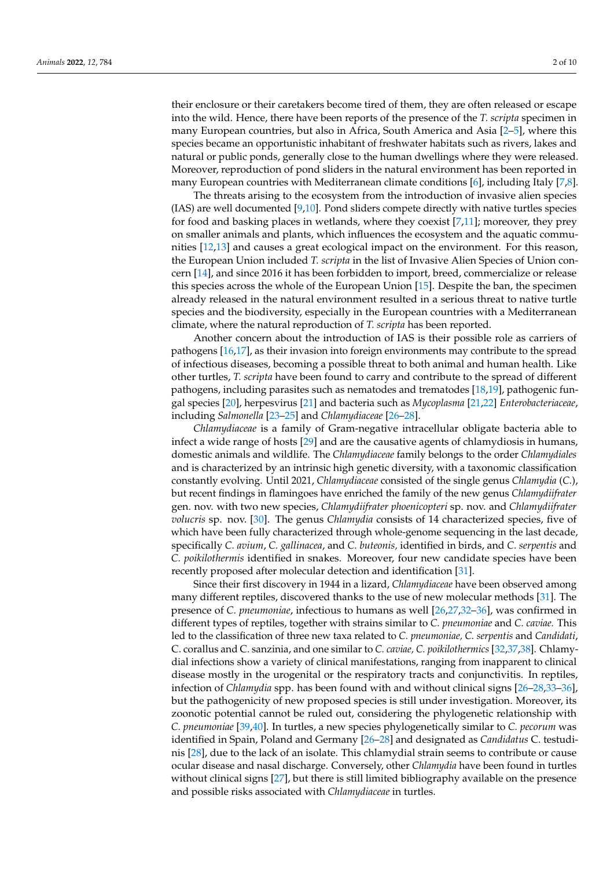their enclosure or their caretakers become tired of them, they are often released or escape into the wild. Hence, there have been reports of the presence of the *T. scripta* specimen in many European countries, but also in Africa, South America and Asia [\[2](#page-7-1)[–5\]](#page-7-2), where this species became an opportunistic inhabitant of freshwater habitats such as rivers, lakes and natural or public ponds, generally close to the human dwellings where they were released. Moreover, reproduction of pond sliders in the natural environment has been reported in many European countries with Mediterranean climate conditions [\[6\]](#page-7-3), including Italy [\[7,](#page-7-4)[8\]](#page-7-5).

The threats arising to the ecosystem from the introduction of invasive alien species (IAS) are well documented  $[9,10]$  $[9,10]$ . Pond sliders compete directly with native turtles species for food and basking places in wetlands, where they coexist [\[7](#page-7-4)[,11\]](#page-7-8); moreover, they prey on smaller animals and plants, which influences the ecosystem and the aquatic communities [\[12,](#page-8-0)[13\]](#page-8-1) and causes a great ecological impact on the environment. For this reason, the European Union included *T. scripta* in the list of Invasive Alien Species of Union concern [\[14\]](#page-8-2), and since 2016 it has been forbidden to import, breed, commercialize or release this species across the whole of the European Union [\[15\]](#page-8-3). Despite the ban, the specimen already released in the natural environment resulted in a serious threat to native turtle species and the biodiversity, especially in the European countries with a Mediterranean climate, where the natural reproduction of *T. scripta* has been reported.

Another concern about the introduction of IAS is their possible role as carriers of pathogens [\[16,](#page-8-4)[17\]](#page-8-5), as their invasion into foreign environments may contribute to the spread of infectious diseases, becoming a possible threat to both animal and human health. Like other turtles, *T. scripta* have been found to carry and contribute to the spread of different pathogens, including parasites such as nematodes and trematodes [\[18](#page-8-6)[,19\]](#page-8-7), pathogenic fungal species [\[20\]](#page-8-8), herpesvirus [\[21\]](#page-8-9) and bacteria such as *Mycoplasma* [\[21](#page-8-9)[,22\]](#page-8-10) *Enterobacteriaceae*, including *Salmonella* [\[23](#page-8-11)[–25\]](#page-8-12) and *Chlamydiaceae* [\[26](#page-8-13)[–28\]](#page-8-14).

*Chlamydiaceae* is a family of Gram-negative intracellular obligate bacteria able to infect a wide range of hosts [\[29\]](#page-8-15) and are the causative agents of chlamydiosis in humans, domestic animals and wildlife. The *Chlamydiaceae* family belongs to the order *Chlamydiales* and is characterized by an intrinsic high genetic diversity, with a taxonomic classification constantly evolving. Until 2021, *Chlamydiaceae* consisted of the single genus *Chlamydia* (*C.*), but recent findings in flamingoes have enriched the family of the new genus *Chlamydiifrater* gen. nov. with two new species, *Chlamydiifrater phoenicopteri* sp. nov. and *Chlamydiifrater volucris* sp. nov. [\[30\]](#page-8-16). The genus *Chlamydia* consists of 14 characterized species, five of which have been fully characterized through whole-genome sequencing in the last decade, specifically *C. avium*, *C. gallinacea*, and *C. buteonis,* identified in birds, and *C. serpentis* and *C. poikilothermis* identified in snakes. Moreover, four new candidate species have been recently proposed after molecular detection and identification [\[31\]](#page-8-17).

Since their first discovery in 1944 in a lizard, *Chlamydiaceae* have been observed among many different reptiles, discovered thanks to the use of new molecular methods [\[31\]](#page-8-17). The presence of *C. pneumoniae*, infectious to humans as well [\[26,](#page-8-13)[27](#page-8-18)[,32](#page-8-19)[–36\]](#page-9-0), was confirmed in different types of reptiles, together with strains similar to *C. pneumoniae* and *C. caviae.* This led to the classification of three new taxa related to *C. pneumoniae, C. serpentis* and *Candidati*, C. corallus and C. sanzinia, and one similar to *C. caviae, C. poikilothermics* [\[32](#page-8-19)[,37,](#page-9-1)[38\]](#page-9-2). Chlamydial infections show a variety of clinical manifestations, ranging from inapparent to clinical disease mostly in the urogenital or the respiratory tracts and conjunctivitis. In reptiles, infection of *Chlamydia* spp. has been found with and without clinical signs [\[26](#page-8-13)[–28,](#page-8-14)[33–](#page-8-20)[36\]](#page-9-0), but the pathogenicity of new proposed species is still under investigation. Moreover, its zoonotic potential cannot be ruled out, considering the phylogenetic relationship with *C. pneumoniae* [\[39](#page-9-3)[,40\]](#page-9-4). In turtles, a new species phylogenetically similar to *C. pecorum* was identified in Spain, Poland and Germany [\[26](#page-8-13)[–28\]](#page-8-14) and designated as *Candidatus* C. testudinis [\[28\]](#page-8-14), due to the lack of an isolate. This chlamydial strain seems to contribute or cause ocular disease and nasal discharge. Conversely, other *Chlamydia* have been found in turtles without clinical signs [\[27\]](#page-8-18), but there is still limited bibliography available on the presence and possible risks associated with *Chlamydiaceae* in turtles.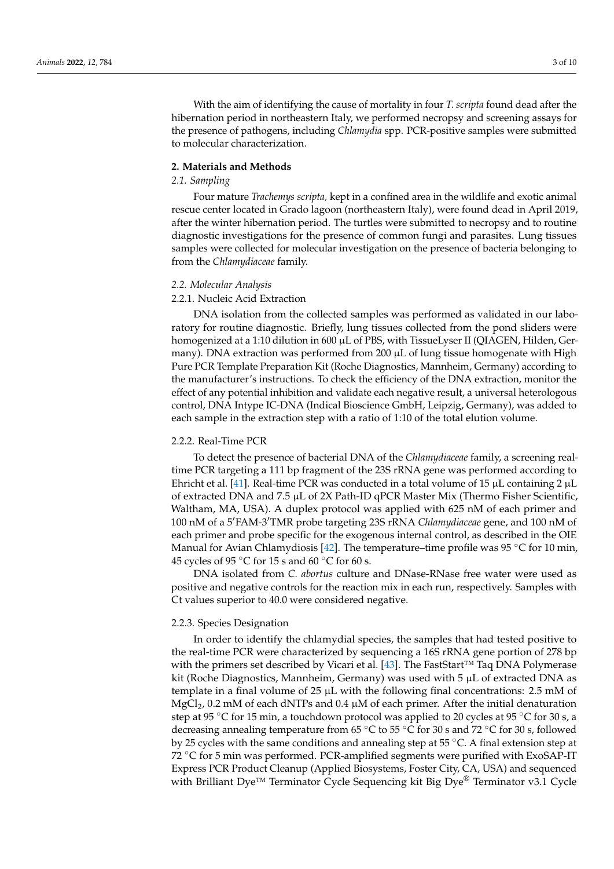With the aim of identifying the cause of mortality in four *T. scripta* found dead after the hibernation period in northeastern Italy, we performed necropsy and screening assays for the presence of pathogens, including *Chlamydia* spp. PCR-positive samples were submitted to molecular characterization.

#### **2. Materials and Methods**

## *2.1. Sampling*

Four mature *Trachemys scripta,* kept in a confined area in the wildlife and exotic animal rescue center located in Grado lagoon (northeastern Italy), were found dead in April 2019, after the winter hibernation period. The turtles were submitted to necropsy and to routine diagnostic investigations for the presence of common fungi and parasites. Lung tissues samples were collected for molecular investigation on the presence of bacteria belonging to from the *Chlamydiaceae* family.

#### *2.2. Molecular Analysis*

## 2.2.1. Nucleic Acid Extraction

DNA isolation from the collected samples was performed as validated in our laboratory for routine diagnostic. Briefly, lung tissues collected from the pond sliders were homogenized at a 1:10 dilution in 600 µL of PBS, with TissueLyser II (QIAGEN, Hilden, Germany). DNA extraction was performed from 200 µL of lung tissue homogenate with High Pure PCR Template Preparation Kit (Roche Diagnostics, Mannheim, Germany) according to the manufacturer's instructions. To check the efficiency of the DNA extraction, monitor the effect of any potential inhibition and validate each negative result, a universal heterologous control, DNA Intype IC-DNA (Indical Bioscience GmbH, Leipzig, Germany), was added to each sample in the extraction step with a ratio of 1:10 of the total elution volume.

#### 2.2.2. Real-Time PCR

To detect the presence of bacterial DNA of the *Chlamydiaceae* family, a screening realtime PCR targeting a 111 bp fragment of the 23S rRNA gene was performed according to Ehricht et al. [\[41\]](#page-9-5). Real-time PCR was conducted in a total volume of 15  $\mu$ L containing 2  $\mu$ L of extracted DNA and 7.5 µL of 2X Path-ID qPCR Master Mix (Thermo Fisher Scientific, Waltham, MA, USA). A duplex protocol was applied with 625 nM of each primer and 100 nM of a 5<sup> $\text{FAM-3'TMR}$  probe targeting 23S rRNA *Chlamydiaceae* gene, and 100 nM of</sup> each primer and probe specific for the exogenous internal control, as described in the OIE Manual for Avian Chlamydiosis [\[42\]](#page-9-6). The temperature–time profile was 95  $\degree$ C for 10 min, 45 cycles of 95  $\degree$ C for 15 s and 60  $\degree$ C for 60 s.

DNA isolated from *C. abortus* culture and DNase-RNase free water were used as positive and negative controls for the reaction mix in each run, respectively. Samples with Ct values superior to 40.0 were considered negative.

#### <span id="page-2-0"></span>2.2.3. Species Designation

In order to identify the chlamydial species, the samples that had tested positive to the real-time PCR were characterized by sequencing a 16S rRNA gene portion of 278 bp with the primers set described by Vicari et al. [\[43\]](#page-9-7). The FastStart™ Taq DNA Polymerase kit (Roche Diagnostics, Mannheim, Germany) was used with 5 µL of extracted DNA as template in a final volume of 25  $\mu$ L with the following final concentrations: 2.5 mM of  $MgCl<sub>2</sub>$ , 0.2 mM of each dNTPs and 0.4  $\mu$ M of each primer. After the initial denaturation step at 95 °C for 15 min, a touchdown protocol was applied to 20 cycles at 95 °C for 30 s, a decreasing annealing temperature from 65 ◦C to 55 ◦C for 30 s and 72 ◦C for 30 s, followed by 25 cycles with the same conditions and annealing step at 55 ◦C. A final extension step at 72 <sup>°</sup>C for 5 min was performed. PCR-amplified segments were purified with ExoSAP-IT Express PCR Product Cleanup (Applied Biosystems, Foster City, CA, USA) and sequenced with Brilliant Dye<sup>™</sup> Terminator Cycle Sequencing kit Big Dye<sup>®</sup> Terminator v3.1 Cycle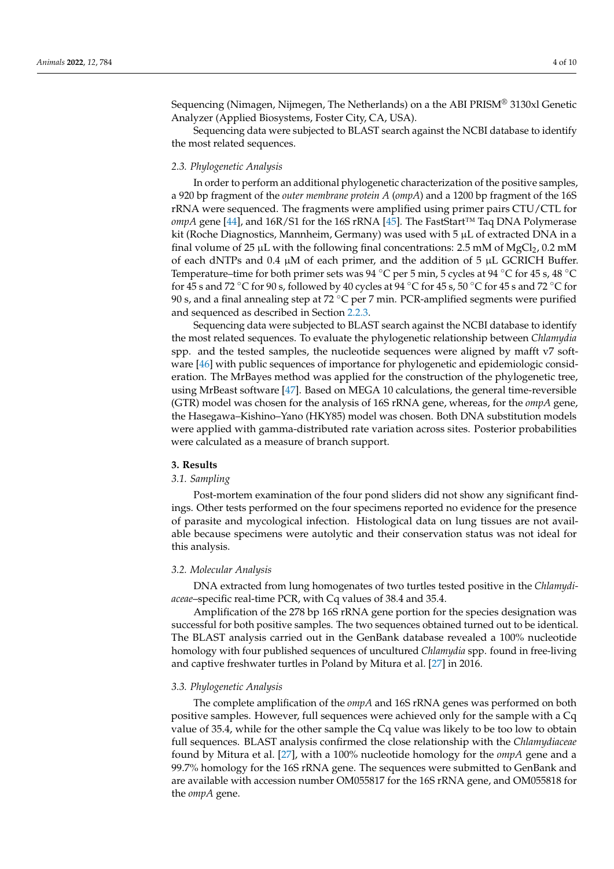Sequencing (Nimagen, Nijmegen, The Netherlands) on a the ABI PRISM® 3130xl Genetic Analyzer (Applied Biosystems, Foster City, CA, USA).

Sequencing data were subjected to BLAST search against the NCBI database to identify the most related sequences.

#### *2.3. Phylogenetic Analysis*

In order to perform an additional phylogenetic characterization of the positive samples, a 920 bp fragment of the *outer membrane protein A* (*ompA*) and a 1200 bp fragment of the 16S rRNA were sequenced. The fragments were amplified using primer pairs CTU/CTL for *ompA* gene [\[44\]](#page-9-8), and 16R/S1 for the 16S rRNA [\[45\]](#page-9-9). The FastStart™ Taq DNA Polymerase kit (Roche Diagnostics, Mannheim, Germany) was used with  $5 \mu L$  of extracted DNA in a final volume of 25  $\mu$ L with the following final concentrations: 2.5 mM of MgCl<sub>2</sub>, 0.2 mM of each dNTPs and 0.4  $\mu$ M of each primer, and the addition of 5  $\mu$ L GCRICH Buffer. Temperature–time for both primer sets was 94 °C per 5 min, 5 cycles at 94 °C for 45 s, 48 °C for 45 s and 72 °C for 90 s, followed by 40 cycles at 94 °C for 45 s, 50 °C for 45 s and 72 °C for 90 s, and a final annealing step at 72 °C per 7 min. PCR-amplified segments were purified and sequenced as described in Section [2.2.3.](#page-2-0)

Sequencing data were subjected to BLAST search against the NCBI database to identify the most related sequences. To evaluate the phylogenetic relationship between *Chlamydia* spp. and the tested samples, the nucleotide sequences were aligned by mafft v7 software [\[46\]](#page-9-10) with public sequences of importance for phylogenetic and epidemiologic consideration. The MrBayes method was applied for the construction of the phylogenetic tree, using MrBeast software [\[47\]](#page-9-11). Based on MEGA 10 calculations, the general time-reversible (GTR) model was chosen for the analysis of 16S rRNA gene, whereas, for the *ompA* gene, the Hasegawa–Kishino–Yano (HKY85) model was chosen. Both DNA substitution models were applied with gamma-distributed rate variation across sites. Posterior probabilities were calculated as a measure of branch support.

#### **3. Results**

#### *3.1. Sampling*

Post-mortem examination of the four pond sliders did not show any significant findings. Other tests performed on the four specimens reported no evidence for the presence of parasite and mycological infection. Histological data on lung tissues are not available because specimens were autolytic and their conservation status was not ideal for this analysis.

## *3.2. Molecular Analysis*

DNA extracted from lung homogenates of two turtles tested positive in the *Chlamydiaceae*–specific real-time PCR, with Cq values of 38.4 and 35.4.

Amplification of the 278 bp 16S rRNA gene portion for the species designation was successful for both positive samples. The two sequences obtained turned out to be identical. The BLAST analysis carried out in the GenBank database revealed a 100% nucleotide homology with four published sequences of uncultured *Chlamydia* spp. found in free-living and captive freshwater turtles in Poland by Mitura et al. [\[27\]](#page-8-18) in 2016.

#### *3.3. Phylogenetic Analysis*

The complete amplification of the *ompA* and 16S rRNA genes was performed on both positive samples. However, full sequences were achieved only for the sample with a Cq value of 35.4, while for the other sample the Cq value was likely to be too low to obtain full sequences. BLAST analysis confirmed the close relationship with the *Chlamydiaceae* found by Mitura et al. [\[27\]](#page-8-18), with a 100% nucleotide homology for the *ompA* gene and a 99.7% homology for the 16S rRNA gene. The sequences were submitted to GenBank and are available with accession number OM055817 for the 16S rRNA gene, and OM055818 for the *ompA* gene.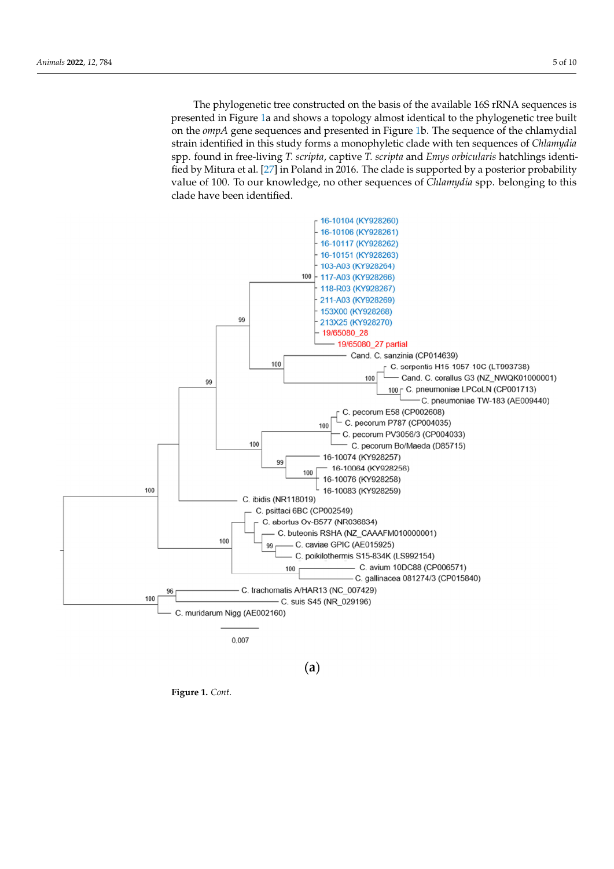The phylogenetic tree constructed on the basis of the available 16S rRNA sequences is presented in Figure [1a](#page-5-0) and shows a topology almost identical to the phylogenetic tree built on the *ompA* gene sequences and presented in Figure [1b](#page-5-0). The sequence of the chlamydial strain identified in this study forms a monophyletic clade with ten sequences of *Chlamydia* spp. found in free-living *T. scripta*, captive *T. scripta* and *Emys orbicularis* hatchlings identified by Mitura et al. [\[27\]](#page-8-18) in Poland in 2016. The clade is supported by a posterior probability value of 100. To our knowledge, no other sequences of *Chlamydia* spp. belonging to this clade have been identified.



 $(a)$ 

**Figure 1.** *Cont*.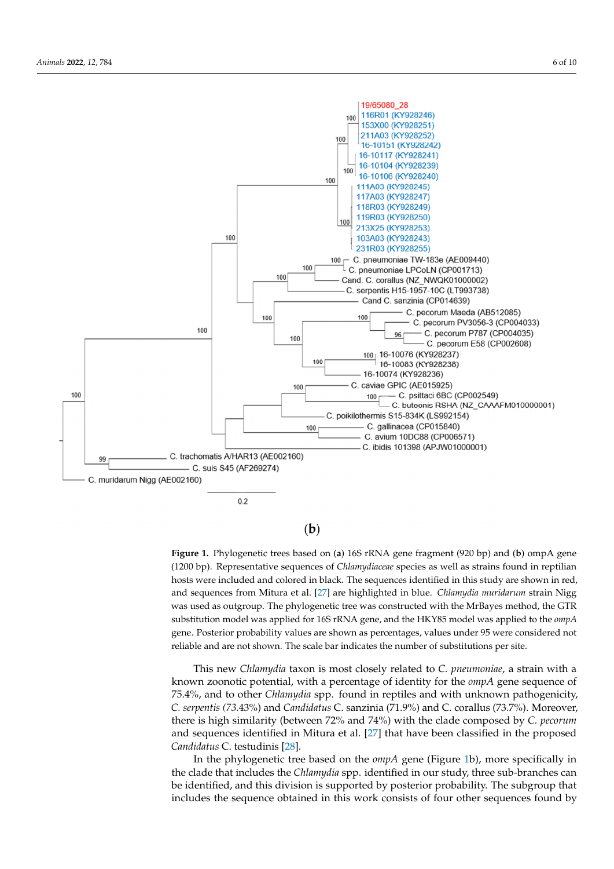<span id="page-5-0"></span>

# $(b)$

**Figure 1.** Phylogenetic trees based on (**a**) 16S rRNA gene fragment (920 bp) and (**b**) ompA gene (1200 bp). Representative sequences of *Chlamydiaceae* species as well as strains found in reptilian hosts were included and colored in black. The sequences identified in this study are shown in red, and sequences from Mitura et al. [\[27\]](#page-8-18) are highlighted in blue. *Chlamydia muridarum* strain Nigg was used as outgroup. The phylogenetic tree was constructed with the MrBayes method, the GTR substitution model was applied for 16S rRNA gene, and the HKY85 model was applied to the *ompA* gene. Posterior probability values are shown as percentages, values under 95 were considered not reliable and are not shown. The scale bar indicates the number of substitutions per site.

This new *Chlamydia* taxon is most closely related to *C. pneumoniae*, a strain with a known zoonotic potential, with a percentage of identity for the *ompA* gene sequence of 75.4%, and to other *Chlamydia* spp. found in reptiles and with unknown pathogenicity, *C. serpentis (73*.43%) and *Candidatus* C. sanzinia (71.9%) and C. corallus (73.7%). Moreover, there is high similarity (between 72% and 74%) with the clade composed by *C. pecorum* and sequences identified in Mitura et al. [\[27\]](#page-8-18) that have been classified in the proposed *Candidatus* C. testudinis [\[28\]](#page-8-14).

In the phylogenetic tree based on the *ompA* gene (Figure [1b](#page-5-0)), more specifically in the clade that includes the *Chlamydia* spp. identified in our study, three sub-branches can be identified, and this division is supported by posterior probability. The subgroup that includes the sequence obtained in this work consists of four other sequences found by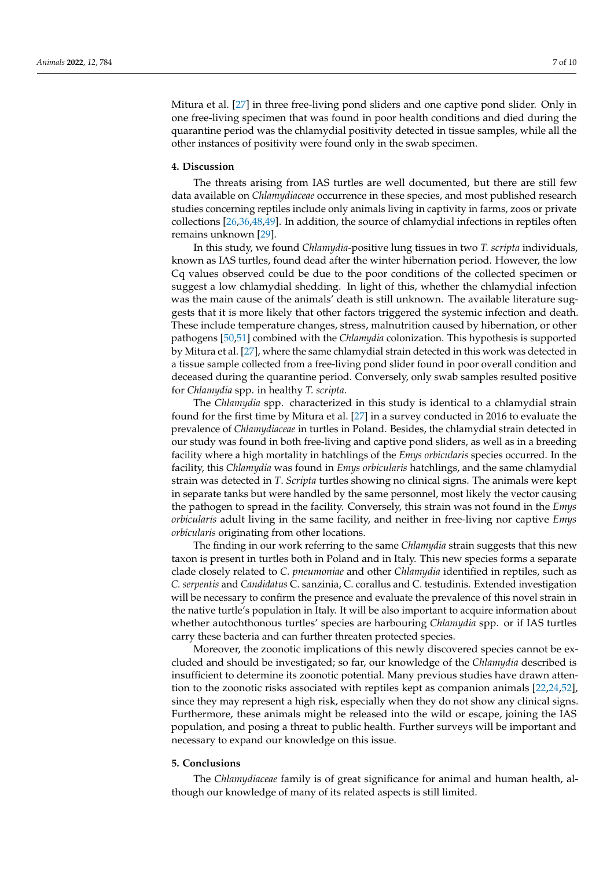Mitura et al. [\[27\]](#page-8-18) in three free-living pond sliders and one captive pond slider. Only in one free-living specimen that was found in poor health conditions and died during the quarantine period was the chlamydial positivity detected in tissue samples, while all the other instances of positivity were found only in the swab specimen.

#### **4. Discussion**

The threats arising from IAS turtles are well documented, but there are still few data available on *Chlamydiaceae* occurrence in these species, and most published research studies concerning reptiles include only animals living in captivity in farms, zoos or private collections [\[26,](#page-8-13)[36,](#page-9-0)[48,](#page-9-12)[49\]](#page-9-13). In addition, the source of chlamydial infections in reptiles often remains unknown [\[29\]](#page-8-15).

In this study, we found *Chlamydia*-positive lung tissues in two *T. scripta* individuals, known as IAS turtles, found dead after the winter hibernation period. However, the low Cq values observed could be due to the poor conditions of the collected specimen or suggest a low chlamydial shedding. In light of this, whether the chlamydial infection was the main cause of the animals' death is still unknown. The available literature suggests that it is more likely that other factors triggered the systemic infection and death. These include temperature changes, stress, malnutrition caused by hibernation, or other pathogens [\[50](#page-9-14)[,51\]](#page-9-15) combined with the *Chlamydia* colonization. This hypothesis is supported by Mitura et al. [\[27\]](#page-8-18), where the same chlamydial strain detected in this work was detected in a tissue sample collected from a free-living pond slider found in poor overall condition and deceased during the quarantine period. Conversely, only swab samples resulted positive for *Chlamydia* spp. in healthy *T. scripta*.

The *Chlamydia* spp. characterized in this study is identical to a chlamydial strain found for the first time by Mitura et al. [\[27\]](#page-8-18) in a survey conducted in 2016 to evaluate the prevalence of *Chlamydiaceae* in turtles in Poland. Besides, the chlamydial strain detected in our study was found in both free-living and captive pond sliders, as well as in a breeding facility where a high mortality in hatchlings of the *Emys orbicularis* species occurred. In the facility, this *Chlamydia* was found in *Emys orbicularis* hatchlings, and the same chlamydial strain was detected in *T*. *Scripta* turtles showing no clinical signs. The animals were kept in separate tanks but were handled by the same personnel, most likely the vector causing the pathogen to spread in the facility. Conversely, this strain was not found in the *Emys orbicularis* adult living in the same facility, and neither in free-living nor captive *Emys orbicularis* originating from other locations.

The finding in our work referring to the same *Chlamydia* strain suggests that this new taxon is present in turtles both in Poland and in Italy. This new species forms a separate clade closely related to *C. pneumoniae* and other *Chlamydia* identified in reptiles, such as *C. serpentis* and *Candidatus* C. sanzinia, C. corallus and C. testudinis. Extended investigation will be necessary to confirm the presence and evaluate the prevalence of this novel strain in the native turtle's population in Italy. It will be also important to acquire information about whether autochthonous turtles' species are harbouring *Chlamydia* spp. or if IAS turtles carry these bacteria and can further threaten protected species.

Moreover, the zoonotic implications of this newly discovered species cannot be excluded and should be investigated; so far, our knowledge of the *Chlamydia* described is insufficient to determine its zoonotic potential. Many previous studies have drawn attention to the zoonotic risks associated with reptiles kept as companion animals [\[22,](#page-8-10)[24,](#page-8-21)[52\]](#page-9-16), since they may represent a high risk, especially when they do not show any clinical signs. Furthermore, these animals might be released into the wild or escape, joining the IAS population, and posing a threat to public health. Further surveys will be important and necessary to expand our knowledge on this issue.

#### **5. Conclusions**

The *Chlamydiaceae* family is of great significance for animal and human health, although our knowledge of many of its related aspects is still limited.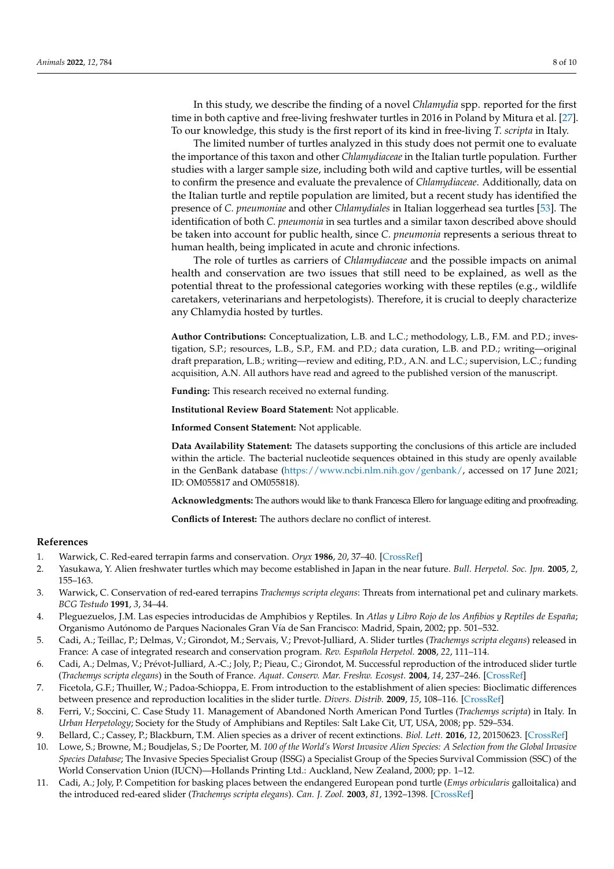In this study, we describe the finding of a novel *Chlamydia* spp. reported for the first time in both captive and free-living freshwater turtles in 2016 in Poland by Mitura et al. [\[27\]](#page-8-18). To our knowledge, this study is the first report of its kind in free-living *T. scripta* in Italy.

The limited number of turtles analyzed in this study does not permit one to evaluate the importance of this taxon and other *Chlamydiaceae* in the Italian turtle population. Further studies with a larger sample size, including both wild and captive turtles, will be essential to confirm the presence and evaluate the prevalence of *Chlamydiaceae*. Additionally, data on the Italian turtle and reptile population are limited, but a recent study has identified the presence of *C. pneumoniae* and other *Chlamydiales* in Italian loggerhead sea turtles [\[53\]](#page-9-17). The identification of both *C. pneumonia* in sea turtles and a similar taxon described above should be taken into account for public health, since *C. pneumonia* represents a serious threat to human health, being implicated in acute and chronic infections.

The role of turtles as carriers of *Chlamydiaceae* and the possible impacts on animal health and conservation are two issues that still need to be explained, as well as the potential threat to the professional categories working with these reptiles (e.g., wildlife caretakers, veterinarians and herpetologists). Therefore, it is crucial to deeply characterize any Chlamydia hosted by turtles.

**Author Contributions:** Conceptualization, L.B. and L.C.; methodology, L.B., F.M. and P.D.; investigation, S.P.; resources, L.B., S.P., F.M. and P.D.; data curation, L.B. and P.D.; writing—original draft preparation, L.B.; writing—review and editing, P.D., A.N. and L.C.; supervision, L.C.; funding acquisition, A.N. All authors have read and agreed to the published version of the manuscript.

**Funding:** This research received no external funding.

**Institutional Review Board Statement:** Not applicable.

**Informed Consent Statement:** Not applicable.

**Data Availability Statement:** The datasets supporting the conclusions of this article are included within the article. The bacterial nucleotide sequences obtained in this study are openly available in the GenBank database [\(https://www.ncbi.nlm.nih.gov/genbank/,](https://www.ncbi.nlm.nih.gov/genbank/) accessed on 17 June 2021; ID: OM055817 and OM055818).

**Acknowledgments:** The authors would like to thank Francesca Ellero for language editing and proofreading.

**Conflicts of Interest:** The authors declare no conflict of interest.

#### **References**

- <span id="page-7-0"></span>1. Warwick, C. Red-eared terrapin farms and conservation. *Oryx* **1986**, *20*, 37–40. [\[CrossRef\]](http://doi.org/10.1017/S0030605300020275)
- <span id="page-7-1"></span>2. Yasukawa, Y. Alien freshwater turtles which may become established in Japan in the near future. *Bull. Herpetol. Soc. Jpn.* **2005**, *2*, 155–163.
- 3. Warwick, C. Conservation of red-eared terrapins *Trachemys scripta elegans*: Threats from international pet and culinary markets. *BCG Testudo* **1991**, *3*, 34–44.
- 4. Pleguezuelos, J.M. Las especies introducidas de Amphibios y Reptiles. In *Atlas y Libro Rojo de los Anfibios y Reptiles de España*; Organismo Autónomo de Parques Nacionales Gran Vía de San Francisco: Madrid, Spain, 2002; pp. 501–532.
- <span id="page-7-2"></span>5. Cadi, A.; Teillac, P.; Delmas, V.; Girondot, M.; Servais, V.; Prevot-Julliard, A. Slider turtles (*Trachemys scripta elegans*) released in France: A case of integrated research and conservation program. *Rev. Española Herpetol.* **2008**, *22*, 111–114.
- <span id="page-7-3"></span>6. Cadi, A.; Delmas, V.; Prévot-Julliard, A.-C.; Joly, P.; Pieau, C.; Girondot, M. Successful reproduction of the introduced slider turtle (*Trachemys scripta elegans*) in the South of France. *Aquat. Conserv. Mar. Freshw. Ecosyst.* **2004**, *14*, 237–246. [\[CrossRef\]](http://doi.org/10.1002/aqc.607)
- <span id="page-7-4"></span>7. Ficetola, G.F.; Thuiller, W.; Padoa-Schioppa, E. From introduction to the establishment of alien species: Bioclimatic differences between presence and reproduction localities in the slider turtle. *Divers. Distrib.* **2009**, *15*, 108–116. [\[CrossRef\]](http://doi.org/10.1111/j.1472-4642.2008.00516.x)
- <span id="page-7-5"></span>8. Ferri, V.; Soccini, C. Case Study 11. Management of Abandoned North American Pond Turtles (*Trachemys scripta*) in Italy. In *Urban Herpetology*; Society for the Study of Amphibians and Reptiles: Salt Lake Cit, UT, USA, 2008; pp. 529–534.
- <span id="page-7-6"></span>9. Bellard, C.; Cassey, P.; Blackburn, T.M. Alien species as a driver of recent extinctions. *Biol. Lett.* **2016**, *12*, 20150623. [\[CrossRef\]](http://doi.org/10.1098/rsbl.2015.0623)
- <span id="page-7-7"></span>10. Lowe, S.; Browne, M.; Boudjelas, S.; De Poorter, M. *100 of the World's Worst Invasive Alien Species: A Selection from the Global Invasive Species Database*; The Invasive Species Specialist Group (ISSG) a Specialist Group of the Species Survival Commission (SSC) of the World Conservation Union (IUCN)—Hollands Printing Ltd.: Auckland, New Zealand, 2000; pp. 1–12.
- <span id="page-7-8"></span>11. Cadi, A.; Joly, P. Competition for basking places between the endangered European pond turtle (*Emys orbicularis* galloitalica) and the introduced red-eared slider (*Trachemys scripta elegans*). *Can. J. Zool.* **2003**, *81*, 1392–1398. [\[CrossRef\]](http://doi.org/10.1139/z03-108)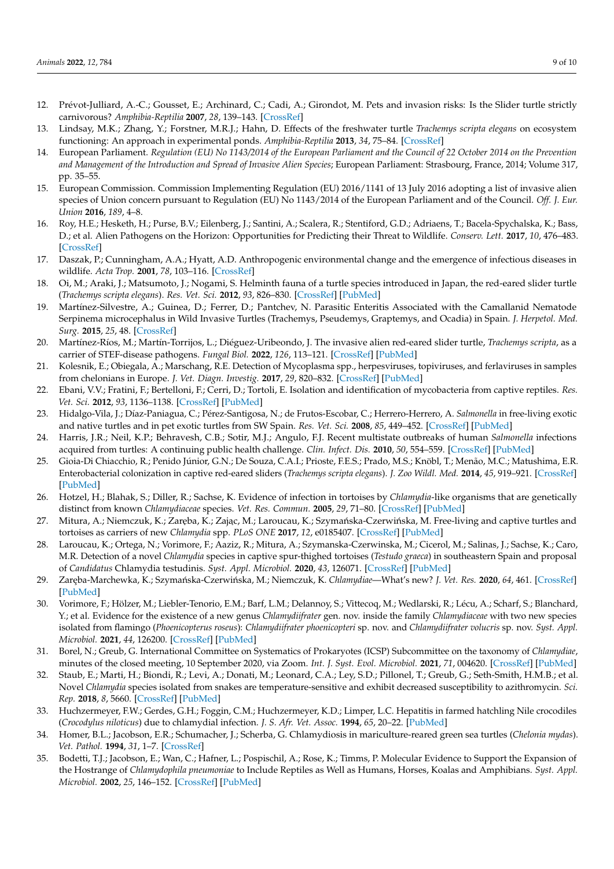- <span id="page-8-0"></span>12. Prévot-Julliard, A.-C.; Gousset, E.; Archinard, C.; Cadi, A.; Girondot, M. Pets and invasion risks: Is the Slider turtle strictly carnivorous? *Amphibia-Reptilia* **2007**, *28*, 139–143. [\[CrossRef\]](http://doi.org/10.1163/156853807779799036)
- <span id="page-8-1"></span>13. Lindsay, M.K.; Zhang, Y.; Forstner, M.R.J.; Hahn, D. Effects of the freshwater turtle *Trachemys scripta elegans* on ecosystem functioning: An approach in experimental ponds. *Amphibia-Reptilia* **2013**, *34*, 75–84. [\[CrossRef\]](http://doi.org/10.1163/15685381-00002871)
- <span id="page-8-2"></span>14. European Parliament. *Regulation (EU) No 1143/2014 of the European Parliament and the Council of 22 October 2014 on the Prevention and Management of the Introduction and Spread of Invasive Alien Species*; European Parliament: Strasbourg, France, 2014; Volume 317, pp. 35–55.
- <span id="page-8-3"></span>15. European Commission. Commission Implementing Regulation (EU) 2016/1141 of 13 July 2016 adopting a list of invasive alien species of Union concern pursuant to Regulation (EU) No 1143/2014 of the European Parliament and of the Council. *Off. J. Eur. Union* **2016**, *189*, 4–8.
- <span id="page-8-4"></span>16. Roy, H.E.; Hesketh, H.; Purse, B.V.; Eilenberg, J.; Santini, A.; Scalera, R.; Stentiford, G.D.; Adriaens, T.; Bacela-Spychalska, K.; Bass, D.; et al. Alien Pathogens on the Horizon: Opportunities for Predicting their Threat to Wildlife. *Conserv. Lett.* **2017**, *10*, 476–483. [\[CrossRef\]](http://doi.org/10.1111/conl.12297)
- <span id="page-8-5"></span>17. Daszak, P.; Cunningham, A.A.; Hyatt, A.D. Anthropogenic environmental change and the emergence of infectious diseases in wildlife. *Acta Trop.* **2001**, *78*, 103–116. [\[CrossRef\]](http://doi.org/10.1016/S0001-706X(00)00179-0)
- <span id="page-8-6"></span>18. Oi, M.; Araki, J.; Matsumoto, J.; Nogami, S. Helminth fauna of a turtle species introduced in Japan, the red-eared slider turtle (*Trachemys scripta elegans*). *Res. Vet. Sci.* **2012**, *93*, 826–830. [\[CrossRef\]](http://doi.org/10.1016/j.rvsc.2011.10.001) [\[PubMed\]](http://www.ncbi.nlm.nih.gov/pubmed/22047816)
- <span id="page-8-7"></span>19. Martínez-Silvestre, A.; Guinea, D.; Ferrer, D.; Pantchev, N. Parasitic Enteritis Associated with the Camallanid Nematode Serpinema microcephalus in Wild Invasive Turtles (Trachemys, Pseudemys, Graptemys, and Ocadia) in Spain. *J. Herpetol. Med. Surg.* **2015**, *25*, 48. [\[CrossRef\]](http://doi.org/10.5818/1529-9651-25.1.48)
- <span id="page-8-8"></span>20. Martínez-Ríos, M.; Martín-Torrijos, L.; Diéguez-Uribeondo, J. The invasive alien red-eared slider turtle, *Trachemys scripta*, as a carrier of STEF-disease pathogens. *Fungal Biol.* **2022**, *126*, 113–121. [\[CrossRef\]](http://doi.org/10.1016/j.funbio.2021.11.003) [\[PubMed\]](http://www.ncbi.nlm.nih.gov/pubmed/35078582)
- <span id="page-8-9"></span>21. Kolesnik, E.; Obiegala, A.; Marschang, R.E. Detection of Mycoplasma spp., herpesviruses, topiviruses, and ferlaviruses in samples from chelonians in Europe. *J. Vet. Diagn. Investig.* **2017**, *29*, 820–832. [\[CrossRef\]](http://doi.org/10.1177/1040638717722387) [\[PubMed\]](http://www.ncbi.nlm.nih.gov/pubmed/28754074)
- <span id="page-8-10"></span>22. Ebani, V.V.; Fratini, F.; Bertelloni, F.; Cerri, D.; Tortoli, E. Isolation and identification of mycobacteria from captive reptiles. *Res. Vet. Sci.* **2012**, *93*, 1136–1138. [\[CrossRef\]](http://doi.org/10.1016/j.rvsc.2012.05.006) [\[PubMed\]](http://www.ncbi.nlm.nih.gov/pubmed/22657144)
- <span id="page-8-11"></span>23. Hidalgo-Vila, J.; Díaz-Paniagua, C.; Pérez-Santigosa, N.; de Frutos-Escobar, C.; Herrero-Herrero, A. *Salmonella* in free-living exotic and native turtles and in pet exotic turtles from SW Spain. *Res. Vet. Sci.* **2008**, *85*, 449–452. [\[CrossRef\]](http://doi.org/10.1016/j.rvsc.2008.01.011) [\[PubMed\]](http://www.ncbi.nlm.nih.gov/pubmed/18334260)
- <span id="page-8-21"></span>24. Harris, J.R.; Neil, K.P.; Behravesh, C.B.; Sotir, M.J.; Angulo, F.J. Recent multistate outbreaks of human *Salmonella* infections acquired from turtles: A continuing public health challenge. *Clin. Infect. Dis.* **2010**, *50*, 554–559. [\[CrossRef\]](http://doi.org/10.1086/649932) [\[PubMed\]](http://www.ncbi.nlm.nih.gov/pubmed/20085463)
- <span id="page-8-12"></span>25. Gioia-Di Chiacchio, R.; Penido Júnior, G.N.; De Souza, C.A.I.; Prioste, F.E.S.; Prado, M.S.; Knöbl, T.; Menão, M.C.; Matushima, E.R. Enterobacterial colonization in captive red-eared sliders (*Trachemys scripta elegans*). *J. Zoo Wildl. Med.* **2014**, *45*, 919–921. [\[CrossRef\]](http://doi.org/10.1638/2013-0188.1) [\[PubMed\]](http://www.ncbi.nlm.nih.gov/pubmed/25632683)
- <span id="page-8-13"></span>26. Hotzel, H.; Blahak, S.; Diller, R.; Sachse, K. Evidence of infection in tortoises by *Chlamydia*-like organisms that are genetically distinct from known *Chlamydiaceae* species. *Vet. Res. Commun.* **2005**, *29*, 71–80. [\[CrossRef\]](http://doi.org/10.1007/s11259-005-0838-y) [\[PubMed\]](http://www.ncbi.nlm.nih.gov/pubmed/15943067)
- <span id="page-8-18"></span>27. Mitura, A.; Niemczuk, K.; Zaręba, K.; Zając, M.; Laroucau, K.; Szymańska-Czerwińska, M. Free-living and captive turtles and tortoises as carriers of new *Chlamydia* spp. *PLoS ONE* **2017**, *12*, e0185407. [\[CrossRef\]](http://doi.org/10.1371/journal.pone.0185407) [\[PubMed\]](http://www.ncbi.nlm.nih.gov/pubmed/28950002)
- <span id="page-8-14"></span>28. Laroucau, K.; Ortega, N.; Vorimore, F.; Aaziz, R.; Mitura, A.; Szymanska-Czerwinska, M.; Cicerol, M.; Salinas, J.; Sachse, K.; Caro, M.R. Detection of a novel *Chlamydia* species in captive spur-thighed tortoises (*Testudo graeca*) in southeastern Spain and proposal of *Candidatus* Chlamydia testudinis. *Syst. Appl. Microbiol.* **2020**, *43*, 126071. [\[CrossRef\]](http://doi.org/10.1016/j.syapm.2020.126071) [\[PubMed\]](http://www.ncbi.nlm.nih.gov/pubmed/32085936)
- <span id="page-8-15"></span>29. Zaręba-Marchewka, K.; Szymańska-Czerwińska, M.; Niemczuk, K. Chlamydiae—What's new? J. Vet. Res. 2020, 64, 461. [\[CrossRef\]](http://doi.org/10.2478/jvetres-2020-0077) [\[PubMed\]](http://www.ncbi.nlm.nih.gov/pubmed/33367133)
- <span id="page-8-16"></span>30. Vorimore, F.; Hölzer, M.; Liebler-Tenorio, E.M.; Barf, L.M.; Delannoy, S.; Vittecoq, M.; Wedlarski, R.; Lécu, A.; Scharf, S.; Blanchard, Y.; et al. Evidence for the existence of a new genus *Chlamydiifrater* gen. nov. inside the family *Chlamydiaceae* with two new species isolated from flamingo (*Phoenicopterus roseus*): *Chlamydiifrater phoenicopteri* sp. nov. and *Chlamydiifrater volucris* sp. nov. *Syst. Appl. Microbiol.* **2021**, *44*, 126200. [\[CrossRef\]](http://doi.org/10.1016/j.syapm.2021.126200) [\[PubMed\]](http://www.ncbi.nlm.nih.gov/pubmed/34298369)
- <span id="page-8-17"></span>31. Borel, N.; Greub, G. International Committee on Systematics of Prokaryotes (ICSP) Subcommittee on the taxonomy of *Chlamydiae*, minutes of the closed meeting, 10 September 2020, via Zoom. *Int. J. Syst. Evol. Microbiol.* **2021**, *71*, 004620. [\[CrossRef\]](http://doi.org/10.1099/ijsem.0.004620) [\[PubMed\]](http://www.ncbi.nlm.nih.gov/pubmed/33332256)
- <span id="page-8-19"></span>32. Staub, E.; Marti, H.; Biondi, R.; Levi, A.; Donati, M.; Leonard, C.A.; Ley, S.D.; Pillonel, T.; Greub, G.; Seth-Smith, H.M.B.; et al. Novel *Chlamydia* species isolated from snakes are temperature-sensitive and exhibit decreased susceptibility to azithromycin. *Sci. Rep.* **2018**, *8*, 5660. [\[CrossRef\]](http://doi.org/10.1038/s41598-018-23897-z) [\[PubMed\]](http://www.ncbi.nlm.nih.gov/pubmed/29618824)
- <span id="page-8-20"></span>33. Huchzermeyer, F.W.; Gerdes, G.H.; Foggin, C.M.; Huchzermeyer, K.D.; Limper, L.C. Hepatitis in farmed hatchling Nile crocodiles (*Crocodylus niloticus*) due to chlamydial infection. *J. S. Afr. Vet. Assoc.* **1994**, *65*, 20–22. [\[PubMed\]](http://www.ncbi.nlm.nih.gov/pubmed/7745587)
- 34. Homer, B.L.; Jacobson, E.R.; Schumacher, J.; Scherba, G. Chlamydiosis in mariculture-reared green sea turtles (*Chelonia mydas*). *Vet. Pathol.* **1994**, *31*, 1–7. [\[CrossRef\]](http://doi.org/10.1177/030098589403100101)
- 35. Bodetti, T.J.; Jacobson, E.; Wan, C.; Hafner, L.; Pospischil, A.; Rose, K.; Timms, P. Molecular Evidence to Support the Expansion of the Hostrange of *Chlamydophila pneumoniae* to Include Reptiles as Well as Humans, Horses, Koalas and Amphibians. *Syst. Appl. Microbiol.* **2002**, *25*, 146–152. [\[CrossRef\]](http://doi.org/10.1078/0723-2020-00086) [\[PubMed\]](http://www.ncbi.nlm.nih.gov/pubmed/12086181)